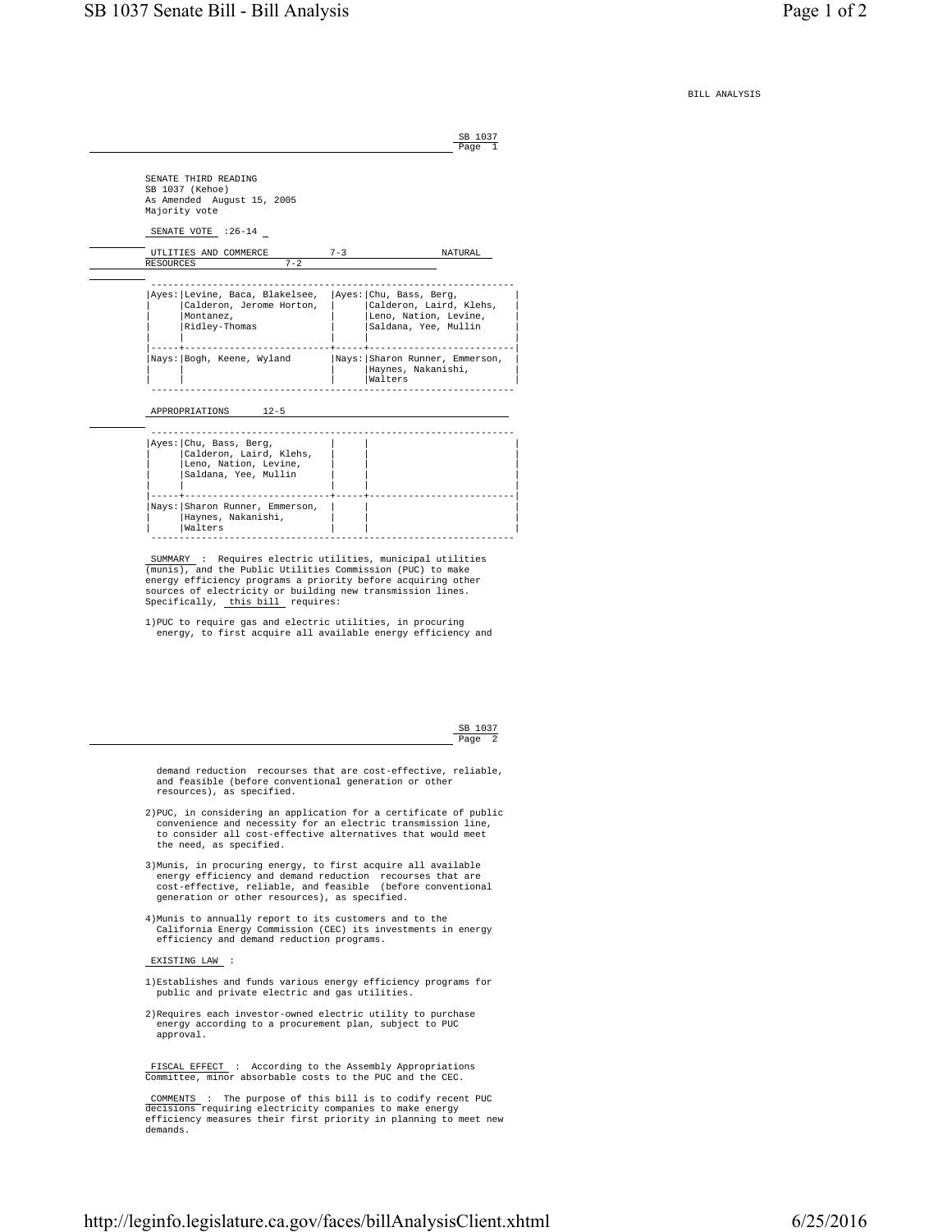SB 1037

BILL ANALYSIS

Page 1 and 2012 12:00 the contract of the Page 1 and 2012 12:00 the Page 1 and 2012 12:00 the Page 1 SENATE THIRD READING SB 1037 (Kehoe) As Amended August 15, 2005 Majority vote SENATE VOTE : 26-14 UTLITIES AND COMMERCE 7-3 NATURAL RESOURCES ----------------------------------------------------------------- |Ayes:|Levine, Baca, Blakelsee, |Ayes:|Chu, Bass, Berg, | | Calderon, Jerome Horton, | Montanez, | |Montanez, | |Leno, Nation, Levine, | | Saldana, Yee, Mullin | | | | | |-----+--------------------------+-----+--------------------------| |Nays: | Sharon Runner, Emmerson, | Haynes, Nakanishi,<br>| Walters | | | |Walters | ----------------------------------------------------------------- APPROPRIATIONS 12-5 ----------------------------------------------------------------- | Ayes: | Chu, Bass, Berg, | |Calderon, Laird, Klehs, | | | | |Leno, Nation, Levine, | | | | |Saldana, Yee, Mullin | | | | | | | | |-----+--------------------------+-----+--------------------------| |Nays:|Sharon Runner, Emmerson, | | | | Haynes, Nakanishi,<br>| Walters | |Walters | | | ----------------------------------------------------------------- SUMMARY : Requires electric utilities, municipal utilities (munis), and the Public Utilities Commission (PUC) to make energy efficiency programs a priority before acquiring other sources of electricity or building new transmission lines. Specifically, this bill requires: 1)PUC to require gas and electric utilities, in procuring energy, to first acquire all available energy efficiency and SB 1037 Page 2 and the contract of the contract of the contract of the contract of the contract of the contract of the contract of the contract of the contract of the contract of the contract of the contract of the contract of the demand reduction recourses that are cost-effective, reliable, and feasible (before conventional generation or other resources), as specified. 2)PUC, in considering an application for a certificate of public convenience and necessity for an electric transmission line, to consider all cost-effective alternatives that would meet the need, as specified.

- 3)Munis, in procuring energy, to first acquire all available energy efficiency and demand reduction recourses that are cost-effective, reliable, and feasible (before conventional generation or other resources), as specified.
- 4)Munis to annually report to its customers and to the California Energy Commission (CEC) its investments in energy efficiency and demand reduction programs.

## EXISTING LAW :

- 1)Establishes and funds various energy efficiency programs for public and private electric and gas utilities.
- 2)Requires each investor-owned electric utility to purchase energy according to a procurement plan, subject to PUC approval.

 FISCAL EFFECT : According to the Assembly Appropriations Committee, minor absorbable costs to the PUC and the CEC.

 COMMENTS : The purpose of this bill is to codify recent PUC decisions requiring electricity companies to make energy efficiency measures their first priority in planning to meet new demands.